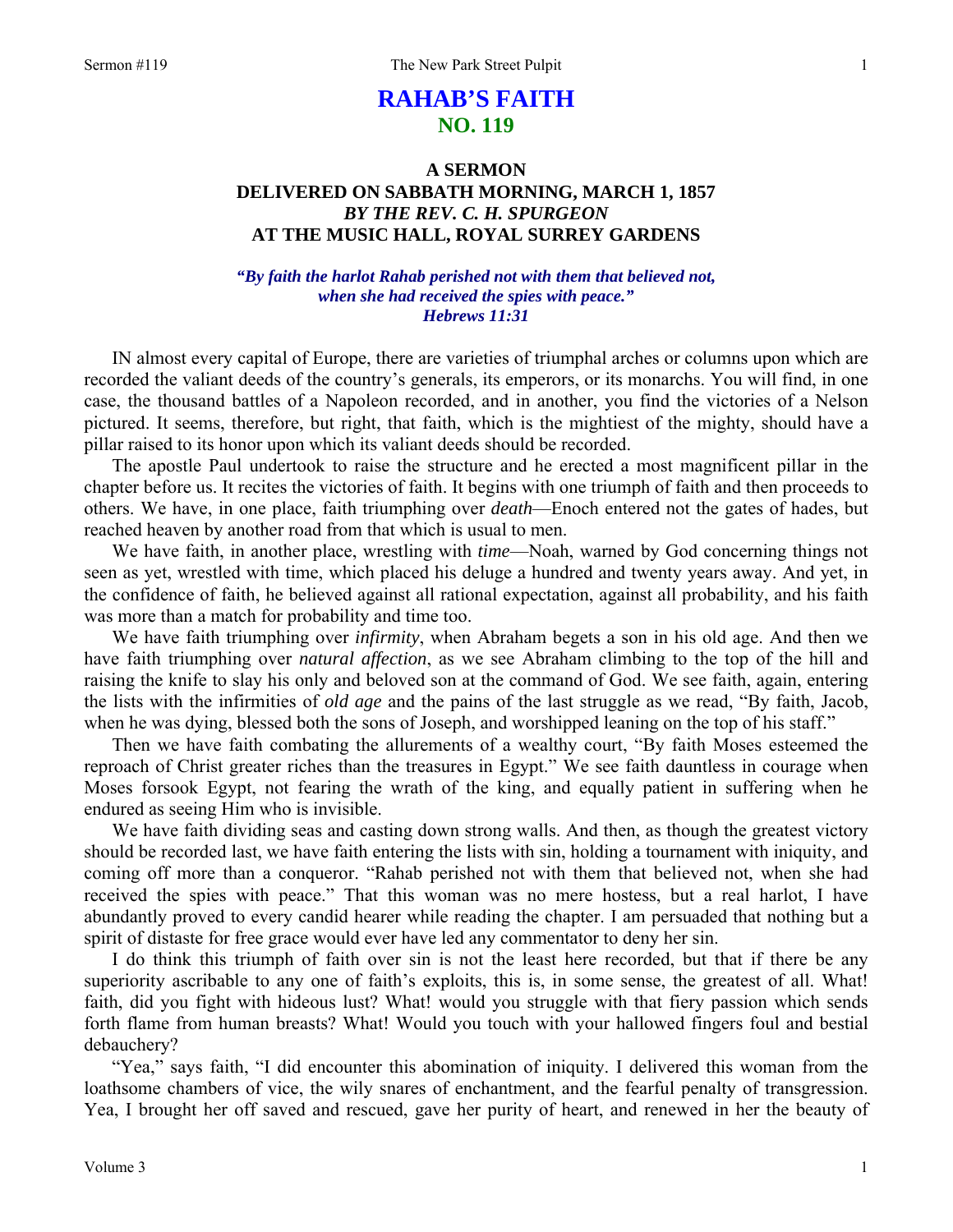## **RAHAB'S FAITH NO. 119**

## **A SERMON DELIVERED ON SABBATH MORNING, MARCH 1, 1857**  *BY THE REV. C. H. SPURGEON*  **AT THE MUSIC HALL, ROYAL SURREY GARDENS**

## *"By faith the harlot Rahab perished not with them that believed not, when she had received the spies with peace." Hebrews 11:31*

IN almost every capital of Europe, there are varieties of triumphal arches or columns upon which are recorded the valiant deeds of the country's generals, its emperors, or its monarchs. You will find, in one case, the thousand battles of a Napoleon recorded, and in another, you find the victories of a Nelson pictured. It seems, therefore, but right, that faith, which is the mightiest of the mighty, should have a pillar raised to its honor upon which its valiant deeds should be recorded.

The apostle Paul undertook to raise the structure and he erected a most magnificent pillar in the chapter before us. It recites the victories of faith. It begins with one triumph of faith and then proceeds to others. We have, in one place, faith triumphing over *death*—Enoch entered not the gates of hades, but reached heaven by another road from that which is usual to men.

We have faith, in another place, wrestling with *time*—Noah, warned by God concerning things not seen as yet, wrestled with time, which placed his deluge a hundred and twenty years away. And yet, in the confidence of faith, he believed against all rational expectation, against all probability, and his faith was more than a match for probability and time too.

We have faith triumphing over *infirmity*, when Abraham begets a son in his old age. And then we have faith triumphing over *natural affection*, as we see Abraham climbing to the top of the hill and raising the knife to slay his only and beloved son at the command of God. We see faith, again, entering the lists with the infirmities of *old age* and the pains of the last struggle as we read, "By faith, Jacob, when he was dying, blessed both the sons of Joseph, and worshipped leaning on the top of his staff."

Then we have faith combating the allurements of a wealthy court, "By faith Moses esteemed the reproach of Christ greater riches than the treasures in Egypt." We see faith dauntless in courage when Moses forsook Egypt, not fearing the wrath of the king, and equally patient in suffering when he endured as seeing Him who is invisible.

We have faith dividing seas and casting down strong walls. And then, as though the greatest victory should be recorded last, we have faith entering the lists with sin, holding a tournament with iniquity, and coming off more than a conqueror. "Rahab perished not with them that believed not, when she had received the spies with peace." That this woman was no mere hostess, but a real harlot, I have abundantly proved to every candid hearer while reading the chapter. I am persuaded that nothing but a spirit of distaste for free grace would ever have led any commentator to deny her sin.

I do think this triumph of faith over sin is not the least here recorded, but that if there be any superiority ascribable to any one of faith's exploits, this is, in some sense, the greatest of all. What! faith, did you fight with hideous lust? What! would you struggle with that fiery passion which sends forth flame from human breasts? What! Would you touch with your hallowed fingers foul and bestial debauchery?

"Yea," says faith, "I did encounter this abomination of iniquity. I delivered this woman from the loathsome chambers of vice, the wily snares of enchantment, and the fearful penalty of transgression. Yea, I brought her off saved and rescued, gave her purity of heart, and renewed in her the beauty of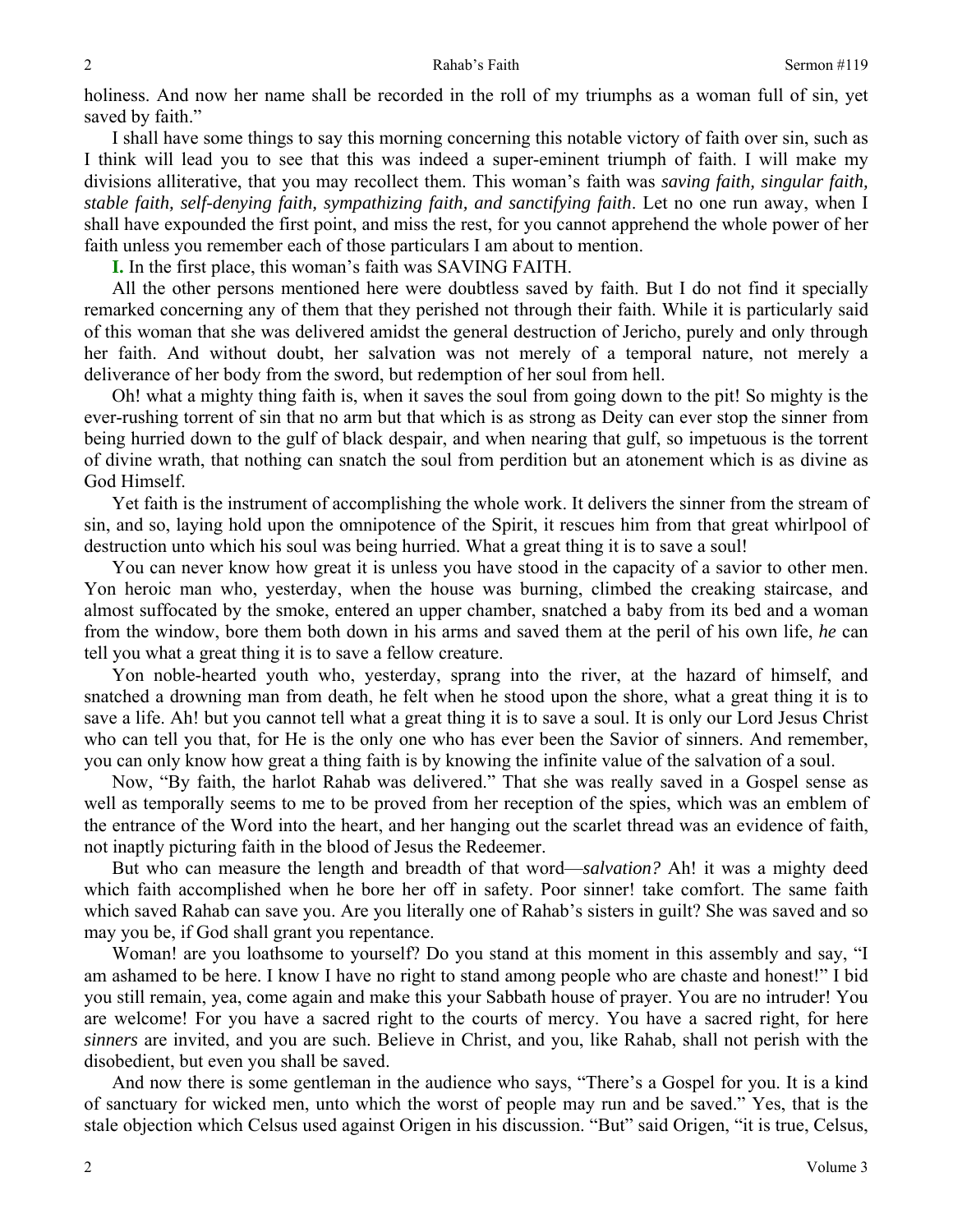holiness. And now her name shall be recorded in the roll of my triumphs as a woman full of sin, yet saved by faith."

I shall have some things to say this morning concerning this notable victory of faith over sin, such as I think will lead you to see that this was indeed a super-eminent triumph of faith. I will make my divisions alliterative, that you may recollect them. This woman's faith was *saving faith, singular faith, stable faith, self-denying faith, sympathizing faith, and sanctifying faith*. Let no one run away, when I shall have expounded the first point, and miss the rest, for you cannot apprehend the whole power of her faith unless you remember each of those particulars I am about to mention.

**I.** In the first place, this woman's faith was SAVING FAITH.

All the other persons mentioned here were doubtless saved by faith. But I do not find it specially remarked concerning any of them that they perished not through their faith. While it is particularly said of this woman that she was delivered amidst the general destruction of Jericho, purely and only through her faith. And without doubt, her salvation was not merely of a temporal nature, not merely a deliverance of her body from the sword, but redemption of her soul from hell.

Oh! what a mighty thing faith is, when it saves the soul from going down to the pit! So mighty is the ever-rushing torrent of sin that no arm but that which is as strong as Deity can ever stop the sinner from being hurried down to the gulf of black despair, and when nearing that gulf, so impetuous is the torrent of divine wrath, that nothing can snatch the soul from perdition but an atonement which is as divine as God Himself.

Yet faith is the instrument of accomplishing the whole work. It delivers the sinner from the stream of sin, and so, laying hold upon the omnipotence of the Spirit, it rescues him from that great whirlpool of destruction unto which his soul was being hurried. What a great thing it is to save a soul!

You can never know how great it is unless you have stood in the capacity of a savior to other men. Yon heroic man who, yesterday, when the house was burning, climbed the creaking staircase, and almost suffocated by the smoke, entered an upper chamber, snatched a baby from its bed and a woman from the window, bore them both down in his arms and saved them at the peril of his own life, *he* can tell you what a great thing it is to save a fellow creature.

Yon noble-hearted youth who, yesterday, sprang into the river, at the hazard of himself, and snatched a drowning man from death, he felt when he stood upon the shore, what a great thing it is to save a life. Ah! but you cannot tell what a great thing it is to save a soul. It is only our Lord Jesus Christ who can tell you that, for He is the only one who has ever been the Savior of sinners. And remember, you can only know how great a thing faith is by knowing the infinite value of the salvation of a soul.

Now, "By faith, the harlot Rahab was delivered." That she was really saved in a Gospel sense as well as temporally seems to me to be proved from her reception of the spies, which was an emblem of the entrance of the Word into the heart, and her hanging out the scarlet thread was an evidence of faith, not inaptly picturing faith in the blood of Jesus the Redeemer.

But who can measure the length and breadth of that word—*salvation?* Ah! it was a mighty deed which faith accomplished when he bore her off in safety. Poor sinner! take comfort. The same faith which saved Rahab can save you. Are you literally one of Rahab's sisters in guilt? She was saved and so may you be, if God shall grant you repentance.

Woman! are you loathsome to yourself? Do you stand at this moment in this assembly and say, "I am ashamed to be here. I know I have no right to stand among people who are chaste and honest!" I bid you still remain, yea, come again and make this your Sabbath house of prayer. You are no intruder! You are welcome! For you have a sacred right to the courts of mercy. You have a sacred right, for here *sinners* are invited, and you are such. Believe in Christ, and you, like Rahab, shall not perish with the disobedient, but even you shall be saved.

And now there is some gentleman in the audience who says, "There's a Gospel for you. It is a kind of sanctuary for wicked men, unto which the worst of people may run and be saved." Yes, that is the stale objection which Celsus used against Origen in his discussion. "But" said Origen, "it is true, Celsus,

2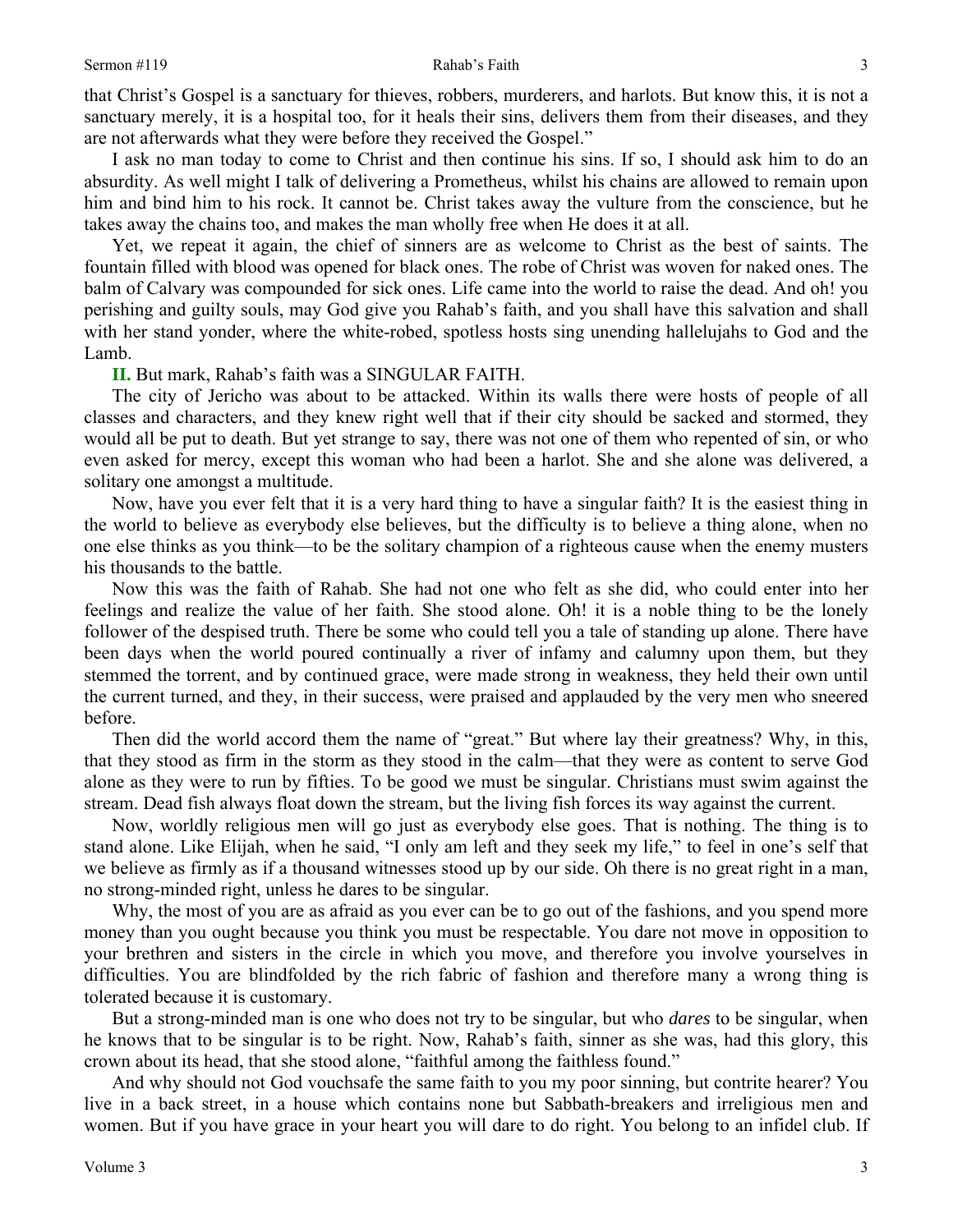that Christ's Gospel is a sanctuary for thieves, robbers, murderers, and harlots. But know this, it is not a sanctuary merely, it is a hospital too, for it heals their sins, delivers them from their diseases, and they are not afterwards what they were before they received the Gospel."

I ask no man today to come to Christ and then continue his sins. If so, I should ask him to do an absurdity. As well might I talk of delivering a Prometheus, whilst his chains are allowed to remain upon him and bind him to his rock. It cannot be. Christ takes away the vulture from the conscience, but he takes away the chains too, and makes the man wholly free when He does it at all.

Yet, we repeat it again, the chief of sinners are as welcome to Christ as the best of saints. The fountain filled with blood was opened for black ones. The robe of Christ was woven for naked ones. The balm of Calvary was compounded for sick ones. Life came into the world to raise the dead. And oh! you perishing and guilty souls, may God give you Rahab's faith, and you shall have this salvation and shall with her stand yonder, where the white-robed, spotless hosts sing unending hallelujahs to God and the Lamb.

**II.** But mark, Rahab's faith was a SINGULAR FAITH.

The city of Jericho was about to be attacked. Within its walls there were hosts of people of all classes and characters, and they knew right well that if their city should be sacked and stormed, they would all be put to death. But yet strange to say, there was not one of them who repented of sin, or who even asked for mercy, except this woman who had been a harlot. She and she alone was delivered, a solitary one amongst a multitude.

Now, have you ever felt that it is a very hard thing to have a singular faith? It is the easiest thing in the world to believe as everybody else believes, but the difficulty is to believe a thing alone, when no one else thinks as you think—to be the solitary champion of a righteous cause when the enemy musters his thousands to the battle.

Now this was the faith of Rahab. She had not one who felt as she did, who could enter into her feelings and realize the value of her faith. She stood alone. Oh! it is a noble thing to be the lonely follower of the despised truth. There be some who could tell you a tale of standing up alone. There have been days when the world poured continually a river of infamy and calumny upon them, but they stemmed the torrent, and by continued grace, were made strong in weakness, they held their own until the current turned, and they, in their success, were praised and applauded by the very men who sneered before.

Then did the world accord them the name of "great." But where lay their greatness? Why, in this, that they stood as firm in the storm as they stood in the calm—that they were as content to serve God alone as they were to run by fifties. To be good we must be singular. Christians must swim against the stream. Dead fish always float down the stream, but the living fish forces its way against the current.

Now, worldly religious men will go just as everybody else goes. That is nothing. The thing is to stand alone. Like Elijah, when he said, "I only am left and they seek my life," to feel in one's self that we believe as firmly as if a thousand witnesses stood up by our side. Oh there is no great right in a man, no strong-minded right, unless he dares to be singular.

Why, the most of you are as afraid as you ever can be to go out of the fashions, and you spend more money than you ought because you think you must be respectable. You dare not move in opposition to your brethren and sisters in the circle in which you move, and therefore you involve yourselves in difficulties. You are blindfolded by the rich fabric of fashion and therefore many a wrong thing is tolerated because it is customary.

But a strong-minded man is one who does not try to be singular, but who *dares* to be singular, when he knows that to be singular is to be right. Now, Rahab's faith, sinner as she was, had this glory, this crown about its head, that she stood alone, "faithful among the faithless found."

And why should not God vouchsafe the same faith to you my poor sinning, but contrite hearer? You live in a back street, in a house which contains none but Sabbath-breakers and irreligious men and women. But if you have grace in your heart you will dare to do right. You belong to an infidel club. If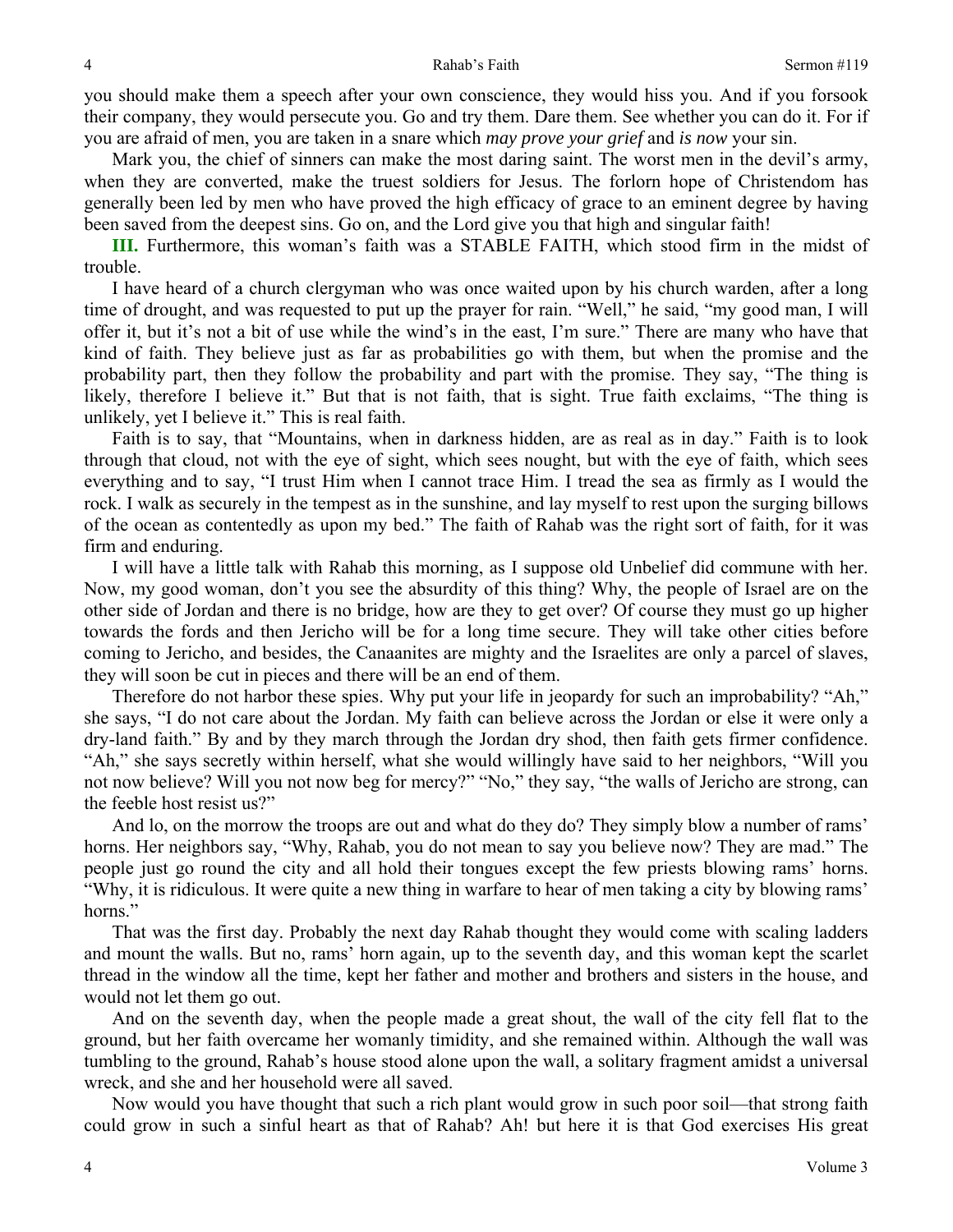you should make them a speech after your own conscience, they would hiss you. And if you forsook their company, they would persecute you. Go and try them. Dare them. See whether you can do it. For if you are afraid of men, you are taken in a snare which *may prove your grief* and *is now* your sin.

Mark you, the chief of sinners can make the most daring saint. The worst men in the devil's army, when they are converted, make the truest soldiers for Jesus. The forlorn hope of Christendom has generally been led by men who have proved the high efficacy of grace to an eminent degree by having been saved from the deepest sins. Go on, and the Lord give you that high and singular faith!

**III.** Furthermore, this woman's faith was a STABLE FAITH, which stood firm in the midst of trouble.

I have heard of a church clergyman who was once waited upon by his church warden, after a long time of drought, and was requested to put up the prayer for rain. "Well," he said, "my good man, I will offer it, but it's not a bit of use while the wind's in the east, I'm sure." There are many who have that kind of faith. They believe just as far as probabilities go with them, but when the promise and the probability part, then they follow the probability and part with the promise. They say, "The thing is likely, therefore I believe it." But that is not faith, that is sight. True faith exclaims, "The thing is unlikely, yet I believe it." This is real faith.

Faith is to say, that "Mountains, when in darkness hidden, are as real as in day." Faith is to look through that cloud, not with the eye of sight, which sees nought, but with the eye of faith, which sees everything and to say, "I trust Him when I cannot trace Him. I tread the sea as firmly as I would the rock. I walk as securely in the tempest as in the sunshine, and lay myself to rest upon the surging billows of the ocean as contentedly as upon my bed." The faith of Rahab was the right sort of faith, for it was firm and enduring.

I will have a little talk with Rahab this morning, as I suppose old Unbelief did commune with her. Now, my good woman, don't you see the absurdity of this thing? Why, the people of Israel are on the other side of Jordan and there is no bridge, how are they to get over? Of course they must go up higher towards the fords and then Jericho will be for a long time secure. They will take other cities before coming to Jericho, and besides, the Canaanites are mighty and the Israelites are only a parcel of slaves, they will soon be cut in pieces and there will be an end of them.

Therefore do not harbor these spies. Why put your life in jeopardy for such an improbability? "Ah," she says, "I do not care about the Jordan. My faith can believe across the Jordan or else it were only a dry-land faith." By and by they march through the Jordan dry shod, then faith gets firmer confidence. "Ah," she says secretly within herself, what she would willingly have said to her neighbors, "Will you not now believe? Will you not now beg for mercy?" "No," they say, "the walls of Jericho are strong, can the feeble host resist us?"

And lo, on the morrow the troops are out and what do they do? They simply blow a number of rams' horns. Her neighbors say, "Why, Rahab, you do not mean to say you believe now? They are mad." The people just go round the city and all hold their tongues except the few priests blowing rams' horns. "Why, it is ridiculous. It were quite a new thing in warfare to hear of men taking a city by blowing rams' horns."

That was the first day. Probably the next day Rahab thought they would come with scaling ladders and mount the walls. But no, rams' horn again, up to the seventh day, and this woman kept the scarlet thread in the window all the time, kept her father and mother and brothers and sisters in the house, and would not let them go out.

And on the seventh day, when the people made a great shout, the wall of the city fell flat to the ground, but her faith overcame her womanly timidity, and she remained within. Although the wall was tumbling to the ground, Rahab's house stood alone upon the wall, a solitary fragment amidst a universal wreck, and she and her household were all saved.

Now would you have thought that such a rich plant would grow in such poor soil—that strong faith could grow in such a sinful heart as that of Rahab? Ah! but here it is that God exercises His great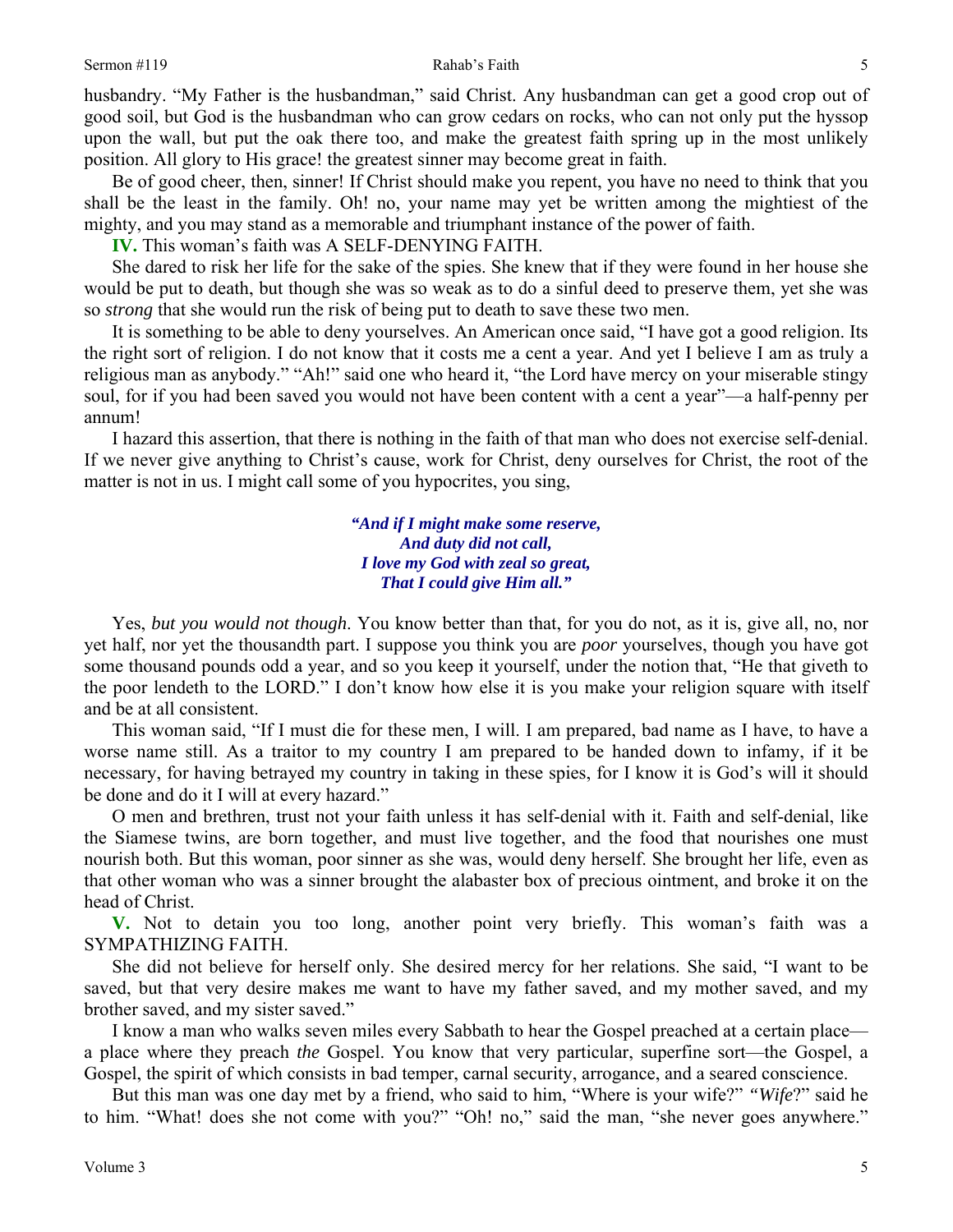husbandry. "My Father is the husbandman," said Christ. Any husbandman can get a good crop out of good soil, but God is the husbandman who can grow cedars on rocks, who can not only put the hyssop upon the wall, but put the oak there too, and make the greatest faith spring up in the most unlikely position. All glory to His grace! the greatest sinner may become great in faith.

Be of good cheer, then, sinner! If Christ should make you repent, you have no need to think that you shall be the least in the family. Oh! no, your name may yet be written among the mightiest of the mighty, and you may stand as a memorable and triumphant instance of the power of faith.

**IV.** This woman's faith was A SELF-DENYING FAITH.

She dared to risk her life for the sake of the spies. She knew that if they were found in her house she would be put to death, but though she was so weak as to do a sinful deed to preserve them, yet she was so *strong* that she would run the risk of being put to death to save these two men.

It is something to be able to deny yourselves. An American once said, "I have got a good religion. Its the right sort of religion. I do not know that it costs me a cent a year. And yet I believe I am as truly a religious man as anybody." "Ah!" said one who heard it, "the Lord have mercy on your miserable stingy soul, for if you had been saved you would not have been content with a cent a year"—a half-penny per annum!

I hazard this assertion, that there is nothing in the faith of that man who does not exercise self-denial. If we never give anything to Christ's cause, work for Christ, deny ourselves for Christ, the root of the matter is not in us. I might call some of you hypocrites, you sing,

> *"And if I might make some reserve, And duty did not call, I love my God with zeal so great, That I could give Him all."*

Yes, *but you would not though*. You know better than that, for you do not, as it is, give all, no, nor yet half, nor yet the thousandth part. I suppose you think you are *poor* yourselves, though you have got some thousand pounds odd a year, and so you keep it yourself, under the notion that, "He that giveth to the poor lendeth to the LORD." I don't know how else it is you make your religion square with itself and be at all consistent.

This woman said, "If I must die for these men, I will. I am prepared, bad name as I have, to have a worse name still. As a traitor to my country I am prepared to be handed down to infamy, if it be necessary, for having betrayed my country in taking in these spies, for I know it is God's will it should be done and do it I will at every hazard."

O men and brethren, trust not your faith unless it has self-denial with it. Faith and self-denial, like the Siamese twins, are born together, and must live together, and the food that nourishes one must nourish both. But this woman, poor sinner as she was, would deny herself. She brought her life, even as that other woman who was a sinner brought the alabaster box of precious ointment, and broke it on the head of Christ.

**V.** Not to detain you too long, another point very briefly. This woman's faith was a SYMPATHIZING FAITH.

She did not believe for herself only. She desired mercy for her relations. She said, "I want to be saved, but that very desire makes me want to have my father saved, and my mother saved, and my brother saved, and my sister saved."

I know a man who walks seven miles every Sabbath to hear the Gospel preached at a certain place a place where they preach *the* Gospel. You know that very particular, superfine sort—the Gospel, a Gospel, the spirit of which consists in bad temper, carnal security, arrogance, and a seared conscience.

But this man was one day met by a friend, who said to him, "Where is your wife?" *"Wife*?" said he to him. "What! does she not come with you?" "Oh! no," said the man, "she never goes anywhere."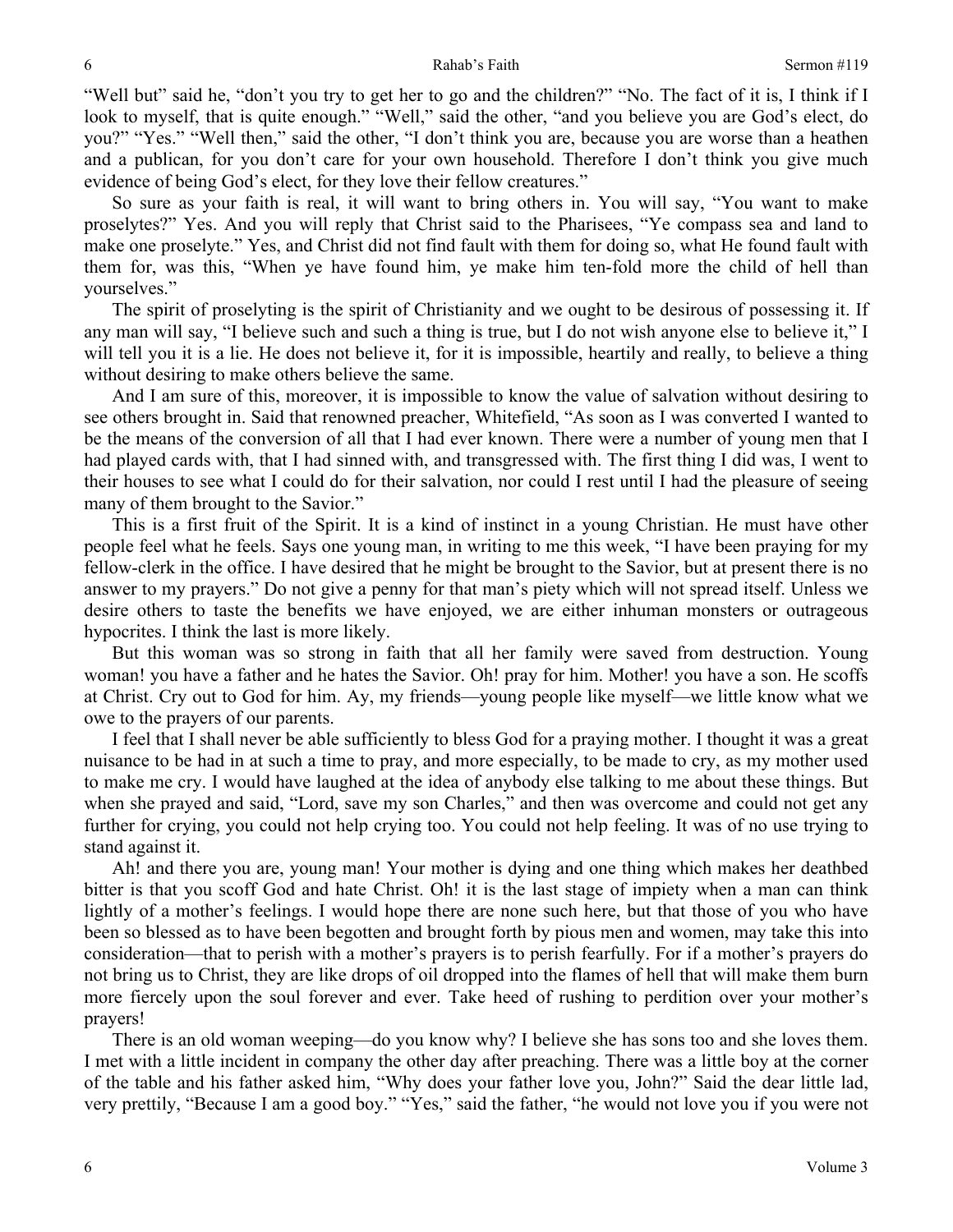"Well but" said he, "don't you try to get her to go and the children?" "No. The fact of it is, I think if I look to myself, that is quite enough." "Well," said the other, "and you believe you are God's elect, do you?" "Yes." "Well then," said the other, "I don't think you are, because you are worse than a heathen and a publican, for you don't care for your own household. Therefore I don't think you give much evidence of being God's elect, for they love their fellow creatures."

So sure as your faith is real, it will want to bring others in. You will say, "You want to make proselytes?" Yes. And you will reply that Christ said to the Pharisees, "Ye compass sea and land to make one proselyte." Yes, and Christ did not find fault with them for doing so, what He found fault with them for, was this, "When ye have found him, ye make him ten-fold more the child of hell than yourselves."

The spirit of proselyting is the spirit of Christianity and we ought to be desirous of possessing it. If any man will say, "I believe such and such a thing is true, but I do not wish anyone else to believe it," I will tell you it is a lie. He does not believe it, for it is impossible, heartily and really, to believe a thing without desiring to make others believe the same.

And I am sure of this, moreover, it is impossible to know the value of salvation without desiring to see others brought in. Said that renowned preacher, Whitefield, "As soon as I was converted I wanted to be the means of the conversion of all that I had ever known. There were a number of young men that I had played cards with, that I had sinned with, and transgressed with. The first thing I did was, I went to their houses to see what I could do for their salvation, nor could I rest until I had the pleasure of seeing many of them brought to the Savior."

This is a first fruit of the Spirit. It is a kind of instinct in a young Christian. He must have other people feel what he feels. Says one young man, in writing to me this week, "I have been praying for my fellow-clerk in the office. I have desired that he might be brought to the Savior, but at present there is no answer to my prayers." Do not give a penny for that man's piety which will not spread itself. Unless we desire others to taste the benefits we have enjoyed, we are either inhuman monsters or outrageous hypocrites. I think the last is more likely.

But this woman was so strong in faith that all her family were saved from destruction. Young woman! you have a father and he hates the Savior. Oh! pray for him. Mother! you have a son. He scoffs at Christ. Cry out to God for him. Ay, my friends—young people like myself—we little know what we owe to the prayers of our parents.

I feel that I shall never be able sufficiently to bless God for a praying mother. I thought it was a great nuisance to be had in at such a time to pray, and more especially, to be made to cry, as my mother used to make me cry. I would have laughed at the idea of anybody else talking to me about these things. But when she prayed and said, "Lord, save my son Charles," and then was overcome and could not get any further for crying, you could not help crying too. You could not help feeling. It was of no use trying to stand against it.

Ah! and there you are, young man! Your mother is dying and one thing which makes her deathbed bitter is that you scoff God and hate Christ. Oh! it is the last stage of impiety when a man can think lightly of a mother's feelings. I would hope there are none such here, but that those of you who have been so blessed as to have been begotten and brought forth by pious men and women, may take this into consideration—that to perish with a mother's prayers is to perish fearfully. For if a mother's prayers do not bring us to Christ, they are like drops of oil dropped into the flames of hell that will make them burn more fiercely upon the soul forever and ever. Take heed of rushing to perdition over your mother's prayers!

There is an old woman weeping—do you know why? I believe she has sons too and she loves them. I met with a little incident in company the other day after preaching. There was a little boy at the corner of the table and his father asked him, "Why does your father love you, John?" Said the dear little lad, very prettily, "Because I am a good boy." "Yes," said the father, "he would not love you if you were not

6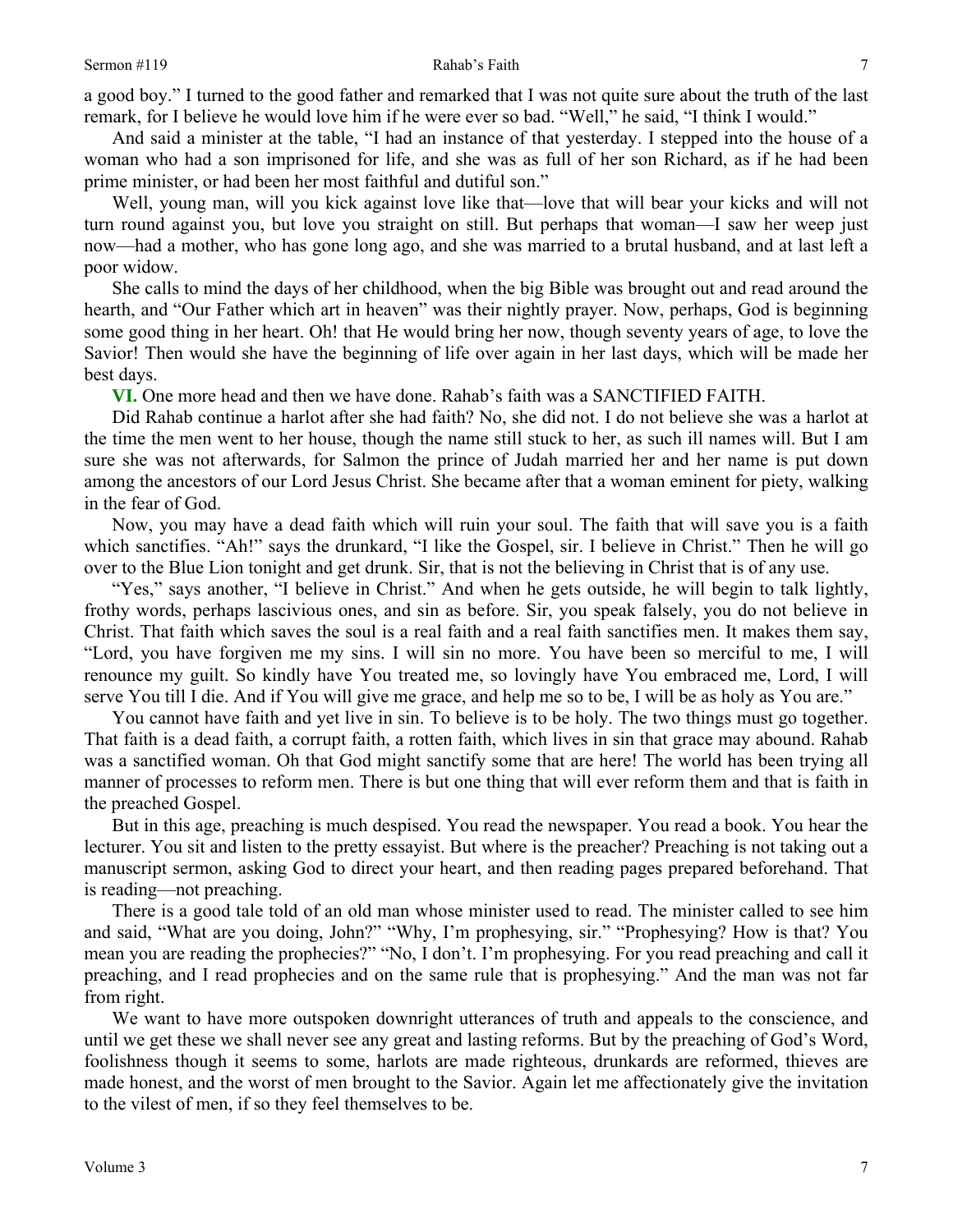a good boy." I turned to the good father and remarked that I was not quite sure about the truth of the last remark, for I believe he would love him if he were ever so bad. "Well," he said, "I think I would."

And said a minister at the table, "I had an instance of that yesterday. I stepped into the house of a woman who had a son imprisoned for life, and she was as full of her son Richard, as if he had been prime minister, or had been her most faithful and dutiful son."

Well, young man, will you kick against love like that—love that will bear your kicks and will not turn round against you, but love you straight on still. But perhaps that woman—I saw her weep just now—had a mother, who has gone long ago, and she was married to a brutal husband, and at last left a poor widow.

She calls to mind the days of her childhood, when the big Bible was brought out and read around the hearth, and "Our Father which art in heaven" was their nightly prayer. Now, perhaps, God is beginning some good thing in her heart. Oh! that He would bring her now, though seventy years of age, to love the Savior! Then would she have the beginning of life over again in her last days, which will be made her best days.

**VI.** One more head and then we have done. Rahab's faith was a SANCTIFIED FAITH.

Did Rahab continue a harlot after she had faith? No, she did not. I do not believe she was a harlot at the time the men went to her house, though the name still stuck to her, as such ill names will. But I am sure she was not afterwards, for Salmon the prince of Judah married her and her name is put down among the ancestors of our Lord Jesus Christ. She became after that a woman eminent for piety, walking in the fear of God.

Now, you may have a dead faith which will ruin your soul. The faith that will save you is a faith which sanctifies. "Ah!" says the drunkard, "I like the Gospel, sir. I believe in Christ." Then he will go over to the Blue Lion tonight and get drunk. Sir, that is not the believing in Christ that is of any use.

"Yes," says another, "I believe in Christ." And when he gets outside, he will begin to talk lightly, frothy words, perhaps lascivious ones, and sin as before. Sir, you speak falsely, you do not believe in Christ. That faith which saves the soul is a real faith and a real faith sanctifies men. It makes them say, "Lord, you have forgiven me my sins. I will sin no more. You have been so merciful to me, I will renounce my guilt. So kindly have You treated me, so lovingly have You embraced me, Lord, I will serve You till I die. And if You will give me grace, and help me so to be, I will be as holy as You are."

You cannot have faith and yet live in sin. To believe is to be holy. The two things must go together. That faith is a dead faith, a corrupt faith, a rotten faith, which lives in sin that grace may abound. Rahab was a sanctified woman. Oh that God might sanctify some that are here! The world has been trying all manner of processes to reform men. There is but one thing that will ever reform them and that is faith in the preached Gospel.

But in this age, preaching is much despised. You read the newspaper. You read a book. You hear the lecturer. You sit and listen to the pretty essayist. But where is the preacher? Preaching is not taking out a manuscript sermon, asking God to direct your heart, and then reading pages prepared beforehand. That is reading—not preaching.

There is a good tale told of an old man whose minister used to read. The minister called to see him and said, "What are you doing, John?" "Why, I'm prophesying, sir." "Prophesying? How is that? You mean you are reading the prophecies?" "No, I don't. I'm prophesying. For you read preaching and call it preaching, and I read prophecies and on the same rule that is prophesying." And the man was not far from right.

We want to have more outspoken downright utterances of truth and appeals to the conscience, and until we get these we shall never see any great and lasting reforms. But by the preaching of God's Word, foolishness though it seems to some, harlots are made righteous, drunkards are reformed, thieves are made honest, and the worst of men brought to the Savior. Again let me affectionately give the invitation to the vilest of men, if so they feel themselves to be.